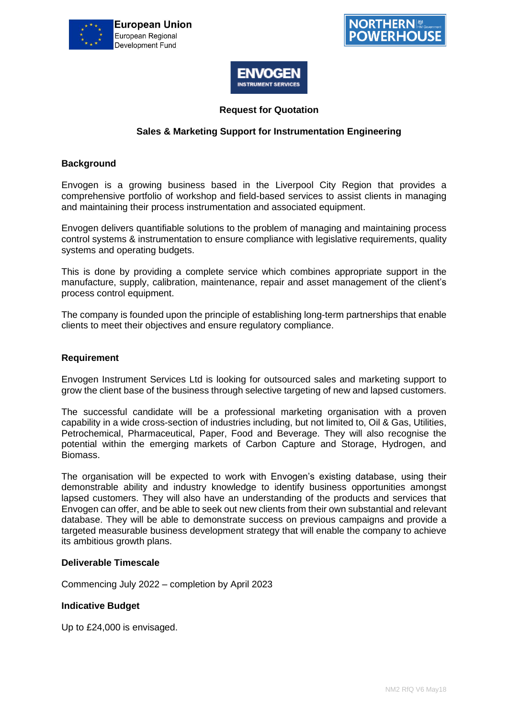





### **Request for Quotation**

### **Sales & Marketing Support for Instrumentation Engineering**

### **Background**

Envogen is a growing business based in the Liverpool City Region that provides a comprehensive portfolio of workshop and field-based services to assist clients in managing and maintaining their process instrumentation and associated equipment.

Envogen delivers quantifiable solutions to the problem of managing and maintaining process control systems & instrumentation to ensure compliance with legislative requirements, quality systems and operating budgets.

This is done by providing a complete service which combines appropriate support in the manufacture, supply, calibration, maintenance, repair and asset management of the client's process control equipment.

The company is founded upon the principle of establishing long-term partnerships that enable clients to meet their objectives and ensure regulatory compliance.

#### **Requirement**

Envogen Instrument Services Ltd is looking for outsourced sales and marketing support to grow the client base of the business through selective targeting of new and lapsed customers.

The successful candidate will be a professional marketing organisation with a proven capability in a wide cross-section of industries including, but not limited to, Oil & Gas, Utilities, Petrochemical, Pharmaceutical, Paper, Food and Beverage. They will also recognise the potential within the emerging markets of Carbon Capture and Storage, Hydrogen, and Biomass.

The organisation will be expected to work with Envogen's existing database, using their demonstrable ability and industry knowledge to identify business opportunities amongst lapsed customers. They will also have an understanding of the products and services that Envogen can offer, and be able to seek out new clients from their own substantial and relevant database. They will be able to demonstrate success on previous campaigns and provide a targeted measurable business development strategy that will enable the company to achieve its ambitious growth plans.

#### **Deliverable Timescale**

Commencing July 2022 – completion by April 2023

#### **Indicative Budget**

Up to £24,000 is envisaged.